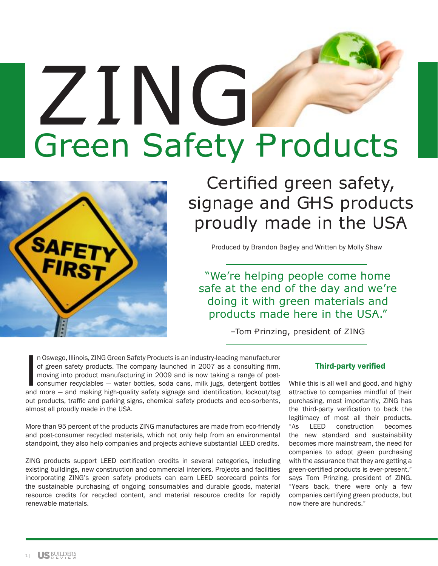## ZING Green Safety Products



Certified green safety, signage and GHS products proudly made in the USA

Produced by Brandon Bagley and Written by Molly Shaw

"We're helping people come home safe at the end of the day and we're doing it with green materials and products made here in the USA."

–Tom Prinzing, president of ZING

In Oswego, Illinois, ZING Green Safety Products is an industry-leading manufacturer<br>of green safety products. The company launched in 2007 as a consulting firm,<br>moving into product manufacturing in 2009 and is now taking a n Oswego, Illinois, ZING Green Safety Products is an industry-leading manufacturer of green safety products. The company launched in 2007 as a consulting firm, moving into product manufacturing in 2009 and is now taking a range of postconsumer recyclables — water bottles, soda cans, milk jugs, detergent bottles out products, traffic and parking signs, chemical safety products and eco-sorbents, almost all proudly made in the USA.

More than 95 percent of the products ZING manufactures are made from eco-friendly and post-consumer recycled materials, which not only help from an environmental standpoint, they also help companies and projects achieve substantial LEED credits.

ZING products support LEED certification credits in several categories, including existing buildings, new construction and commercial interiors. Projects and facilities incorporating ZING's green safety products can earn LEED scorecard points for the sustainable purchasing of ongoing consumables and durable goods, material resource credits for recycled content, and material resource credits for rapidly renewable materials.

## Third-party verified

While this is all well and good, and highly attractive to companies mindful of their purchasing, most importantly, ZING has the third-party verification to back the legitimacy of most all their products. "As LEED construction becomes the new standard and sustainability becomes more mainstream, the need for companies to adopt green purchasing with the assurance that they are getting a green-certified products is ever-present," says Tom Prinzing, president of ZING. "Years back, there were only a few companies certifying green products, but now there are hundreds."